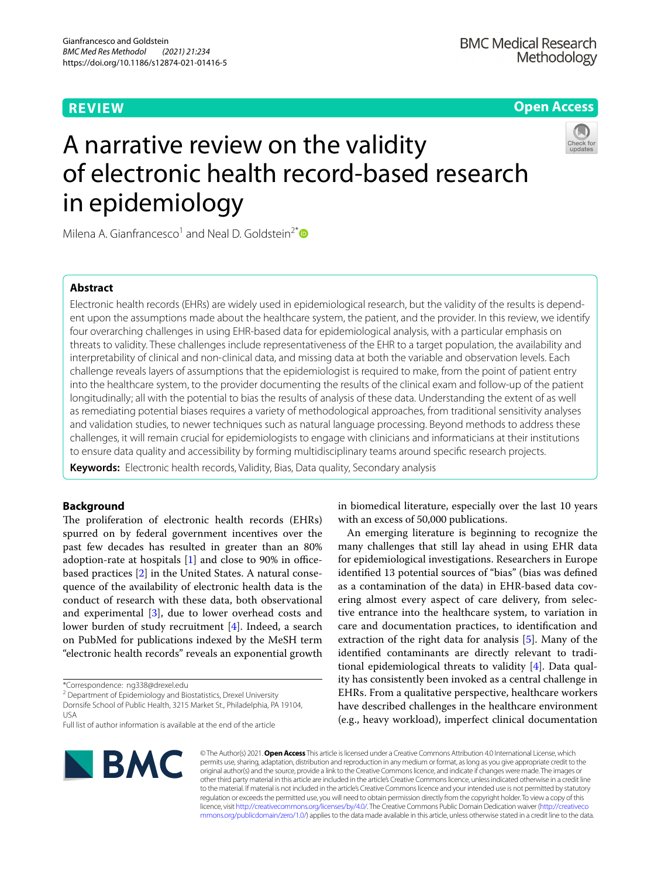## **REVIEW**

## **Open Access**



# A narrative review on the validity of electronic health record-based research in epidemiology

Milena A. Gianfrancesco<sup>1</sup> and Neal D. Goldstein<sup>2[\\*](http://orcid.org/0000-0002-9597-5251)</sup>

## **Abstract**

Electronic health records (EHRs) are widely used in epidemiological research, but the validity of the results is dependent upon the assumptions made about the healthcare system, the patient, and the provider. In this review, we identify four overarching challenges in using EHR-based data for epidemiological analysis, with a particular emphasis on threats to validity. These challenges include representativeness of the EHR to a target population, the availability and interpretability of clinical and non-clinical data, and missing data at both the variable and observation levels. Each challenge reveals layers of assumptions that the epidemiologist is required to make, from the point of patient entry into the healthcare system, to the provider documenting the results of the clinical exam and follow-up of the patient longitudinally; all with the potential to bias the results of analysis of these data. Understanding the extent of as well as remediating potential biases requires a variety of methodological approaches, from traditional sensitivity analyses and validation studies, to newer techniques such as natural language processing. Beyond methods to address these challenges, it will remain crucial for epidemiologists to engage with clinicians and informaticians at their institutions to ensure data quality and accessibility by forming multidisciplinary teams around specifc research projects.

**Keywords:** Electronic health records, Validity, Bias, Data quality, Secondary analysis

## **Background**

The proliferation of electronic health records (EHRs) spurred on by federal government incentives over the past few decades has resulted in greater than an 80% adoption-rate at hospitals  $[1]$  $[1]$  and close to 90% in officebased practices [\[2](#page-7-1)] in the United States. A natural consequence of the availability of electronic health data is the conduct of research with these data, both observational and experimental [[3\]](#page-7-2), due to lower overhead costs and lower burden of study recruitment [\[4](#page-7-3)]. Indeed, a search on PubMed for publications indexed by the MeSH term "electronic health records" reveals an exponential growth

<sup>2</sup> Department of Epidemiology and Biostatistics, Drexel University

Dornsife School of Public Health, 3215 Market St., Philadelphia, PA 19104, USA

in biomedical literature, especially over the last 10 years with an excess of 50,000 publications.

An emerging literature is beginning to recognize the many challenges that still lay ahead in using EHR data for epidemiological investigations. Researchers in Europe identifed 13 potential sources of "bias" (bias was defned as a contamination of the data) in EHR-based data covering almost every aspect of care delivery, from selective entrance into the healthcare system, to variation in care and documentation practices, to identifcation and extraction of the right data for analysis [\[5\]](#page-7-4). Many of the identifed contaminants are directly relevant to traditional epidemiological threats to validity [[4](#page-7-3)]. Data quality has consistently been invoked as a central challenge in EHRs. From a qualitative perspective, healthcare workers have described challenges in the healthcare environment (e.g., heavy workload), imperfect clinical documentation



© The Author(s) 2021. **Open Access** This article is licensed under a Creative Commons Attribution 4.0 International License, which permits use, sharing, adaptation, distribution and reproduction in any medium or format, as long as you give appropriate credit to the original author(s) and the source, provide a link to the Creative Commons licence, and indicate if changes were made. The images or other third party material in this article are included in the article's Creative Commons licence, unless indicated otherwise in a credit line to the material. If material is not included in the article's Creative Commons licence and your intended use is not permitted by statutory regulation or exceeds the permitted use, you will need to obtain permission directly from the copyright holder. To view a copy of this licence, visit [http://creativecommons.org/licenses/by/4.0/.](http://creativecommons.org/licenses/by/4.0/) The Creative Commons Public Domain Dedication waiver ([http://creativeco](http://creativecommons.org/publicdomain/zero/1.0/) [mmons.org/publicdomain/zero/1.0/](http://creativecommons.org/publicdomain/zero/1.0/)) applies to the data made available in this article, unless otherwise stated in a credit line to the data.

<sup>\*</sup>Correspondence: ng338@drexel.edu

Full list of author information is available at the end of the article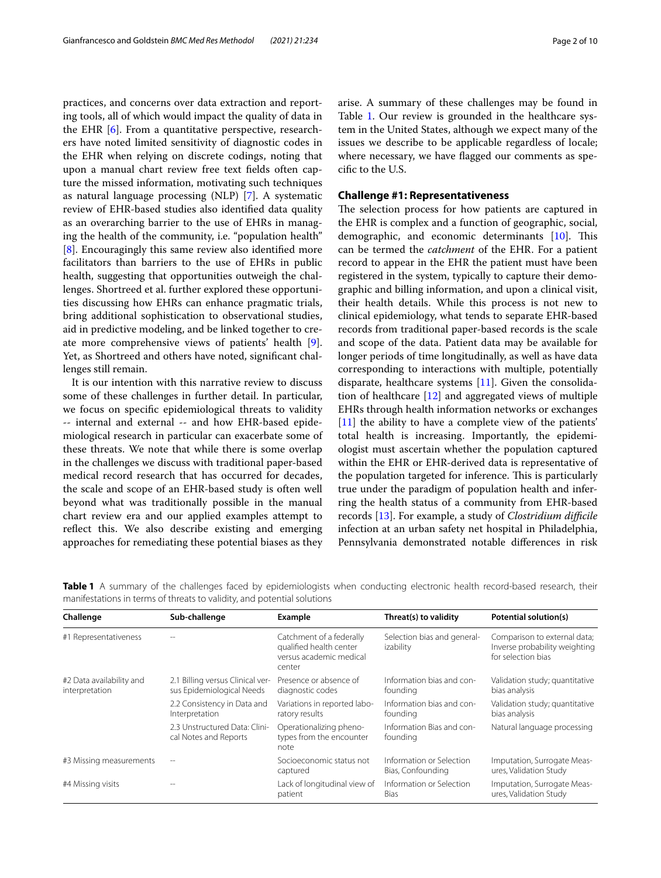practices, and concerns over data extraction and reporting tools, all of which would impact the quality of data in the EHR [\[6](#page-7-5)]. From a quantitative perspective, researchers have noted limited sensitivity of diagnostic codes in the EHR when relying on discrete codings, noting that upon a manual chart review free text felds often capture the missed information, motivating such techniques as natural language processing (NLP) [\[7](#page-7-6)]. A systematic review of EHR-based studies also identifed data quality as an overarching barrier to the use of EHRs in managing the health of the community, i.e. "population health" [[8\]](#page-7-7). Encouragingly this same review also identifed more facilitators than barriers to the use of EHRs in public health, suggesting that opportunities outweigh the challenges. Shortreed et al. further explored these opportunities discussing how EHRs can enhance pragmatic trials, bring additional sophistication to observational studies, aid in predictive modeling, and be linked together to create more comprehensive views of patients' health [\[9](#page-7-8)]. Yet, as Shortreed and others have noted, signifcant challenges still remain.

It is our intention with this narrative review to discuss some of these challenges in further detail. In particular, we focus on specifc epidemiological threats to validity -- internal and external -- and how EHR-based epidemiological research in particular can exacerbate some of these threats. We note that while there is some overlap in the challenges we discuss with traditional paper-based medical record research that has occurred for decades, the scale and scope of an EHR-based study is often well beyond what was traditionally possible in the manual chart review era and our applied examples attempt to refect this. We also describe existing and emerging approaches for remediating these potential biases as they Table [1.](#page-1-0) Our review is grounded in the healthcare system in the United States, although we expect many of the issues we describe to be applicable regardless of locale; where necessary, we have flagged our comments as specifc to the U.S.

### <span id="page-1-1"></span>**Challenge #1: Representativeness**

The selection process for how patients are captured in the EHR is complex and a function of geographic, social, demographic, and economic determinants  $[10]$  $[10]$ . This can be termed the *catchment* of the EHR. For a patient record to appear in the EHR the patient must have been registered in the system, typically to capture their demographic and billing information, and upon a clinical visit, their health details. While this process is not new to clinical epidemiology, what tends to separate EHR-based records from traditional paper-based records is the scale and scope of the data. Patient data may be available for longer periods of time longitudinally, as well as have data corresponding to interactions with multiple, potentially disparate, healthcare systems [[11\]](#page-7-10). Given the consolidation of healthcare [[12\]](#page-7-11) and aggregated views of multiple EHRs through health information networks or exchanges [[11\]](#page-7-10) the ability to have a complete view of the patients' total health is increasing. Importantly, the epidemiologist must ascertain whether the population captured within the EHR or EHR-derived data is representative of the population targeted for inference. This is particularly true under the paradigm of population health and inferring the health status of a community from EHR-based records [\[13](#page-7-12)]. For example, a study of *Clostridium difcile* infection at an urban safety net hospital in Philadelphia, Pennsylvania demonstrated notable diferences in risk

<span id="page-1-0"></span>**Table 1** A summary of the challenges faced by epidemiologists when conducting electronic health record-based research, their manifestations in terms of threats to validity, and potential solutions

| Challenge                                  | Sub-challenge                                                 | Example                                                                                  | Threat(s) to validity                         | Potential solution(s)                                                               |
|--------------------------------------------|---------------------------------------------------------------|------------------------------------------------------------------------------------------|-----------------------------------------------|-------------------------------------------------------------------------------------|
| #1 Representativeness                      |                                                               | Catchment of a federally<br>qualified health center<br>versus academic medical<br>center | Selection bias and general-<br>izability      | Comparison to external data;<br>Inverse probability weighting<br>for selection bias |
| #2 Data availability and<br>interpretation | 2.1 Billing versus Clinical ver-<br>sus Epidemiological Needs | Presence or absence of<br>diagnostic codes                                               | Information bias and con-<br>founding         | Validation study; quantitative<br>bias analysis                                     |
|                                            | 2.2 Consistency in Data and<br>Interpretation                 | Variations in reported labo-<br>ratory results                                           | Information bias and con-<br>founding         | Validation study; quantitative<br>bias analysis                                     |
|                                            | 2.3 Unstructured Data: Clini-<br>cal Notes and Reports        | Operationalizing pheno-<br>types from the encounter<br>note                              | Information Bias and con-<br>founding         | Natural language processing                                                         |
| #3 Missing measurements                    |                                                               | Socioeconomic status not<br>captured                                                     | Information or Selection<br>Bias, Confounding | Imputation, Surrogate Meas-<br>ures, Validation Study                               |
| #4 Missing visits                          | $-$                                                           | Lack of longitudinal view of<br>patient                                                  | Information or Selection<br><b>Bias</b>       | Imputation, Surrogate Meas-<br>ures, Validation Study                               |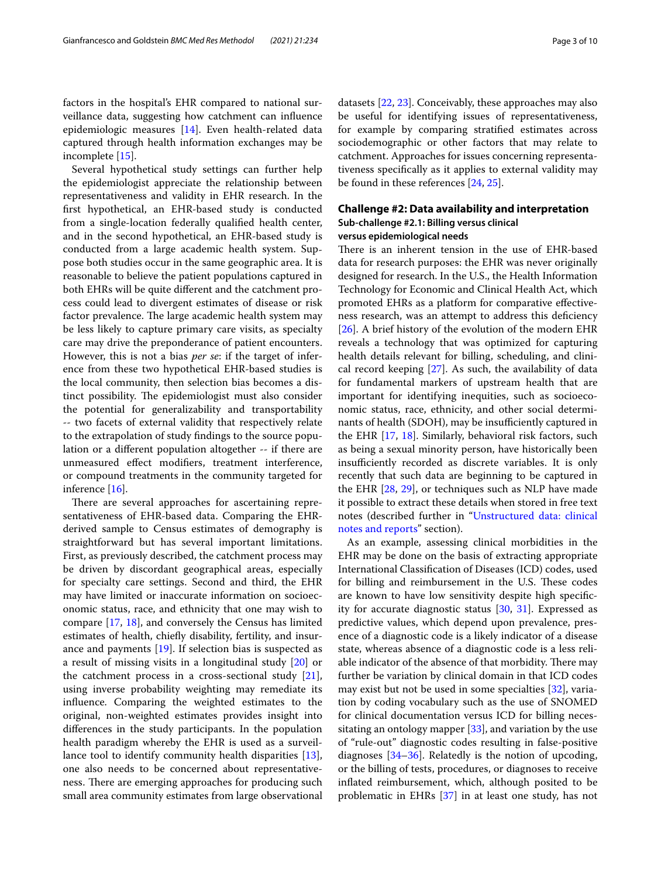factors in the hospital's EHR compared to national surveillance data, suggesting how catchment can infuence epidemiologic measures [\[14\]](#page-7-13). Even health-related data captured through health information exchanges may be incomplete [[15\]](#page-7-14).

Several hypothetical study settings can further help the epidemiologist appreciate the relationship between representativeness and validity in EHR research. In the frst hypothetical, an EHR-based study is conducted from a single-location federally qualifed health center, and in the second hypothetical, an EHR-based study is conducted from a large academic health system. Suppose both studies occur in the same geographic area. It is reasonable to believe the patient populations captured in both EHRs will be quite diferent and the catchment process could lead to divergent estimates of disease or risk factor prevalence. The large academic health system may be less likely to capture primary care visits, as specialty care may drive the preponderance of patient encounters. However, this is not a bias *per se*: if the target of inference from these two hypothetical EHR-based studies is the local community, then selection bias becomes a distinct possibility. The epidemiologist must also consider the potential for generalizability and transportability -- two facets of external validity that respectively relate to the extrapolation of study fndings to the source population or a diferent population altogether -- if there are unmeasured efect modifers, treatment interference, or compound treatments in the community targeted for inference [\[16\]](#page-7-15).

There are several approaches for ascertaining representativeness of EHR-based data. Comparing the EHRderived sample to Census estimates of demography is straightforward but has several important limitations. First, as previously described, the catchment process may be driven by discordant geographical areas, especially for specialty care settings. Second and third, the EHR may have limited or inaccurate information on socioeconomic status, race, and ethnicity that one may wish to compare [\[17](#page-7-16), [18](#page-7-17)], and conversely the Census has limited estimates of health, chiefy disability, fertility, and insurance and payments [[19](#page-7-18)]. If selection bias is suspected as a result of missing visits in a longitudinal study [[20\]](#page-7-19) or the catchment process in a cross-sectional study [\[21](#page-7-20)], using inverse probability weighting may remediate its infuence. Comparing the weighted estimates to the original, non-weighted estimates provides insight into diferences in the study participants. In the population health paradigm whereby the EHR is used as a surveillance tool to identify community health disparities [\[13](#page-7-12)], one also needs to be concerned about representativeness. There are emerging approaches for producing such small area community estimates from large observational datasets [[22](#page-7-21), [23\]](#page-8-0). Conceivably, these approaches may also be useful for identifying issues of representativeness, for example by comparing stratifed estimates across sociodemographic or other factors that may relate to catchment. Approaches for issues concerning representativeness specifcally as it applies to external validity may be found in these references [[24](#page-8-1), [25\]](#page-8-2).

# <span id="page-2-0"></span>**Challenge #2: Data availability and interpretation Sub-challenge #2.1: Billing versus clinical**

## **versus epidemiological needs**

There is an inherent tension in the use of EHR-based data for research purposes: the EHR was never originally designed for research. In the U.S., the Health Information Technology for Economic and Clinical Health Act, which promoted EHRs as a platform for comparative efectiveness research, was an attempt to address this defciency [[26\]](#page-8-3). A brief history of the evolution of the modern EHR reveals a technology that was optimized for capturing health details relevant for billing, scheduling, and clinical record keeping [\[27](#page-8-4)]. As such, the availability of data for fundamental markers of upstream health that are important for identifying inequities, such as socioeconomic status, race, ethnicity, and other social determinants of health (SDOH), may be insufficiently captured in the EHR [[17,](#page-7-16) [18\]](#page-7-17). Similarly, behavioral risk factors, such as being a sexual minority person, have historically been insufficiently recorded as discrete variables. It is only recently that such data are beginning to be captured in the EHR [\[28](#page-8-5), [29](#page-8-6)], or techniques such as NLP have made it possible to extract these details when stored in free text notes (described further in ["Unstructured data: clinical](#page-4-0)  [notes and reports](#page-4-0)" section).

As an example, assessing clinical morbidities in the EHR may be done on the basis of extracting appropriate International Classifcation of Diseases (ICD) codes, used for billing and reimbursement in the U.S. These codes are known to have low sensitivity despite high specifcity for accurate diagnostic status [[30,](#page-8-7) [31\]](#page-8-8). Expressed as predictive values, which depend upon prevalence, presence of a diagnostic code is a likely indicator of a disease state, whereas absence of a diagnostic code is a less reliable indicator of the absence of that morbidity. There may further be variation by clinical domain in that ICD codes may exist but not be used in some specialties [[32\]](#page-8-9), variation by coding vocabulary such as the use of SNOMED for clinical documentation versus ICD for billing necessitating an ontology mapper [\[33](#page-8-10)], and variation by the use of "rule-out" diagnostic codes resulting in false-positive diagnoses [[34–](#page-8-11)[36](#page-8-12)]. Relatedly is the notion of upcoding, or the billing of tests, procedures, or diagnoses to receive infated reimbursement, which, although posited to be problematic in EHRs [\[37](#page-8-13)] in at least one study, has not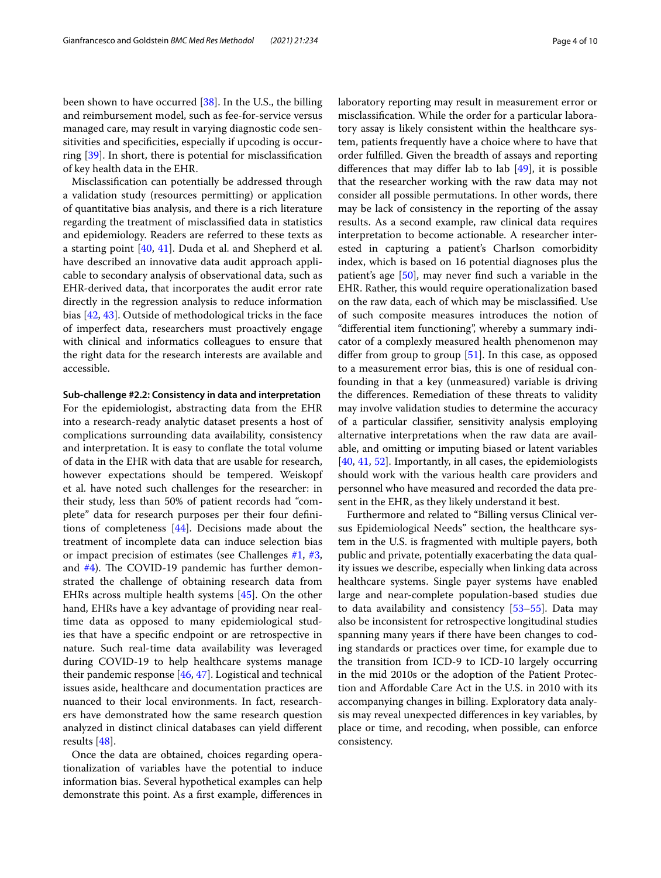been shown to have occurred [\[38](#page-8-14)]. In the U.S., the billing and reimbursement model, such as fee-for-service versus managed care, may result in varying diagnostic code sensitivities and specifcities, especially if upcoding is occurring [\[39](#page-8-15)]. In short, there is potential for misclassifcation of key health data in the EHR.

Misclassifcation can potentially be addressed through a validation study (resources permitting) or application of quantitative bias analysis, and there is a rich literature regarding the treatment of misclassifed data in statistics and epidemiology. Readers are referred to these texts as a starting point [\[40,](#page-8-16) [41](#page-8-17)]. Duda et al. and Shepherd et al. have described an innovative data audit approach applicable to secondary analysis of observational data, such as EHR-derived data, that incorporates the audit error rate directly in the regression analysis to reduce information bias [[42](#page-8-18), [43\]](#page-8-19). Outside of methodological tricks in the face of imperfect data, researchers must proactively engage with clinical and informatics colleagues to ensure that the right data for the research interests are available and accessible.

#### **Sub-challenge #2.2: Consistency in data and interpretation**

For the epidemiologist, abstracting data from the EHR into a research-ready analytic dataset presents a host of complications surrounding data availability, consistency and interpretation. It is easy to confate the total volume of data in the EHR with data that are usable for research, however expectations should be tempered. Weiskopf et al. have noted such challenges for the researcher: in their study, less than 50% of patient records had "complete" data for research purposes per their four defnitions of completeness [[44](#page-8-20)]. Decisions made about the treatment of incomplete data can induce selection bias or impact precision of estimates (see Challenges [#1,](#page-1-1) [#3](#page-4-1), and  $#4$ ). The COVID-19 pandemic has further demonstrated the challenge of obtaining research data from EHRs across multiple health systems [\[45\]](#page-8-21). On the other hand, EHRs have a key advantage of providing near realtime data as opposed to many epidemiological studies that have a specifc endpoint or are retrospective in nature. Such real-time data availability was leveraged during COVID-19 to help healthcare systems manage their pandemic response [[46](#page-8-22), [47\]](#page-8-23). Logistical and technical issues aside, healthcare and documentation practices are nuanced to their local environments. In fact, researchers have demonstrated how the same research question analyzed in distinct clinical databases can yield diferent results [\[48](#page-8-24)].

Once the data are obtained, choices regarding operationalization of variables have the potential to induce information bias. Several hypothetical examples can help demonstrate this point. As a frst example, diferences in laboratory reporting may result in measurement error or misclassifcation. While the order for a particular laboratory assay is likely consistent within the healthcare system, patients frequently have a choice where to have that order fulflled. Given the breadth of assays and reporting diferences that may difer lab to lab [[49](#page-8-25)], it is possible that the researcher working with the raw data may not consider all possible permutations. In other words, there may be lack of consistency in the reporting of the assay results. As a second example, raw clinical data requires interpretation to become actionable. A researcher interested in capturing a patient's Charlson comorbidity index, which is based on 16 potential diagnoses plus the patient's age [\[50](#page-8-26)], may never fnd such a variable in the EHR. Rather, this would require operationalization based on the raw data, each of which may be misclassifed. Use of such composite measures introduces the notion of "diferential item functioning", whereby a summary indicator of a complexly measured health phenomenon may differ from group to group  $[51]$  $[51]$ . In this case, as opposed to a measurement error bias, this is one of residual confounding in that a key (unmeasured) variable is driving the diferences. Remediation of these threats to validity may involve validation studies to determine the accuracy of a particular classifer, sensitivity analysis employing alternative interpretations when the raw data are available, and omitting or imputing biased or latent variables [[40,](#page-8-16) [41,](#page-8-17) [52](#page-8-28)]. Importantly, in all cases, the epidemiologists should work with the various health care providers and personnel who have measured and recorded the data present in the EHR, as they likely understand it best.

Furthermore and related to "Billing versus Clinical versus Epidemiological Needs" section, the healthcare system in the U.S. is fragmented with multiple payers, both public and private, potentially exacerbating the data quality issues we describe, especially when linking data across healthcare systems. Single payer systems have enabled large and near-complete population-based studies due to data availability and consistency [\[53](#page-8-29)[–55\]](#page-8-30). Data may also be inconsistent for retrospective longitudinal studies spanning many years if there have been changes to coding standards or practices over time, for example due to the transition from ICD-9 to ICD-10 largely occurring in the mid 2010s or the adoption of the Patient Protection and Afordable Care Act in the U.S. in 2010 with its accompanying changes in billing. Exploratory data analysis may reveal unexpected diferences in key variables, by place or time, and recoding, when possible, can enforce consistency.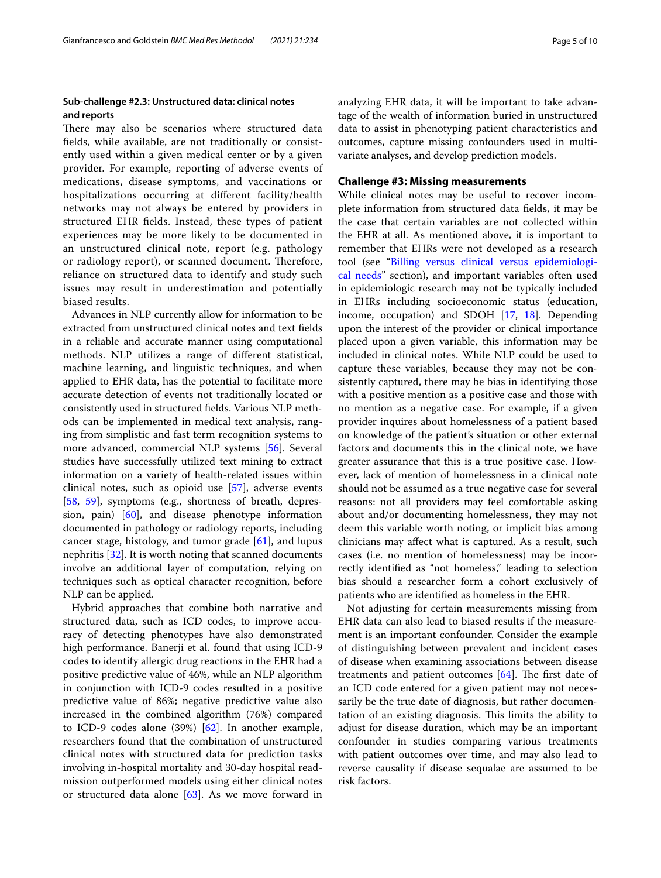## <span id="page-4-0"></span>**Sub-challenge #2.3: Unstructured data: clinical notes and reports**

There may also be scenarios where structured data felds, while available, are not traditionally or consistently used within a given medical center or by a given provider. For example, reporting of adverse events of medications, disease symptoms, and vaccinations or hospitalizations occurring at diferent facility/health networks may not always be entered by providers in structured EHR felds. Instead, these types of patient experiences may be more likely to be documented in an unstructured clinical note, report (e.g. pathology or radiology report), or scanned document. Therefore, reliance on structured data to identify and study such issues may result in underestimation and potentially biased results.

Advances in NLP currently allow for information to be extracted from unstructured clinical notes and text felds in a reliable and accurate manner using computational methods. NLP utilizes a range of diferent statistical, machine learning, and linguistic techniques, and when applied to EHR data, has the potential to facilitate more accurate detection of events not traditionally located or consistently used in structured felds. Various NLP methods can be implemented in medical text analysis, ranging from simplistic and fast term recognition systems to more advanced, commercial NLP systems [[56](#page-8-31)]. Several studies have successfully utilized text mining to extract information on a variety of health-related issues within clinical notes, such as opioid use [[57\]](#page-8-32), adverse events [[58,](#page-8-33) [59\]](#page-8-34), symptoms (e.g., shortness of breath, depression, pain)  $[60]$  $[60]$ , and disease phenotype information documented in pathology or radiology reports, including cancer stage, histology, and tumor grade [\[61](#page-8-36)], and lupus nephritis [\[32\]](#page-8-9). It is worth noting that scanned documents involve an additional layer of computation, relying on techniques such as optical character recognition, before NLP can be applied.

Hybrid approaches that combine both narrative and structured data, such as ICD codes, to improve accuracy of detecting phenotypes have also demonstrated high performance. Banerji et al. found that using ICD-9 codes to identify allergic drug reactions in the EHR had a positive predictive value of 46%, while an NLP algorithm in conjunction with ICD-9 codes resulted in a positive predictive value of 86%; negative predictive value also increased in the combined algorithm (76%) compared to ICD-9 codes alone (39%) [[62\]](#page-8-37). In another example, researchers found that the combination of unstructured clinical notes with structured data for prediction tasks involving in-hospital mortality and 30-day hospital readmission outperformed models using either clinical notes or structured data alone [\[63](#page-8-38)]. As we move forward in analyzing EHR data, it will be important to take advantage of the wealth of information buried in unstructured data to assist in phenotyping patient characteristics and outcomes, capture missing confounders used in multivariate analyses, and develop prediction models.

#### <span id="page-4-1"></span>**Challenge #3: Missing measurements**

While clinical notes may be useful to recover incomplete information from structured data felds, it may be the case that certain variables are not collected within the EHR at all. As mentioned above, it is important to remember that EHRs were not developed as a research tool (see "[Billing versus clinical versus epidemiologi](#page-2-0)[cal needs"](#page-2-0) section), and important variables often used in epidemiologic research may not be typically included in EHRs including socioeconomic status (education, income, occupation) and SDOH [[17,](#page-7-16) [18](#page-7-17)]. Depending upon the interest of the provider or clinical importance placed upon a given variable, this information may be included in clinical notes. While NLP could be used to capture these variables, because they may not be consistently captured, there may be bias in identifying those with a positive mention as a positive case and those with no mention as a negative case. For example, if a given provider inquires about homelessness of a patient based on knowledge of the patient's situation or other external factors and documents this in the clinical note, we have greater assurance that this is a true positive case. However, lack of mention of homelessness in a clinical note should not be assumed as a true negative case for several reasons: not all providers may feel comfortable asking about and/or documenting homelessness, they may not deem this variable worth noting, or implicit bias among clinicians may afect what is captured. As a result, such cases (i.e. no mention of homelessness) may be incorrectly identifed as "not homeless," leading to selection bias should a researcher form a cohort exclusively of patients who are identifed as homeless in the EHR.

Not adjusting for certain measurements missing from EHR data can also lead to biased results if the measurement is an important confounder. Consider the example of distinguishing between prevalent and incident cases of disease when examining associations between disease treatments and patient outcomes  $[64]$ . The first date of an ICD code entered for a given patient may not necessarily be the true date of diagnosis, but rather documentation of an existing diagnosis. This limits the ability to adjust for disease duration, which may be an important confounder in studies comparing various treatments with patient outcomes over time, and may also lead to reverse causality if disease sequalae are assumed to be risk factors.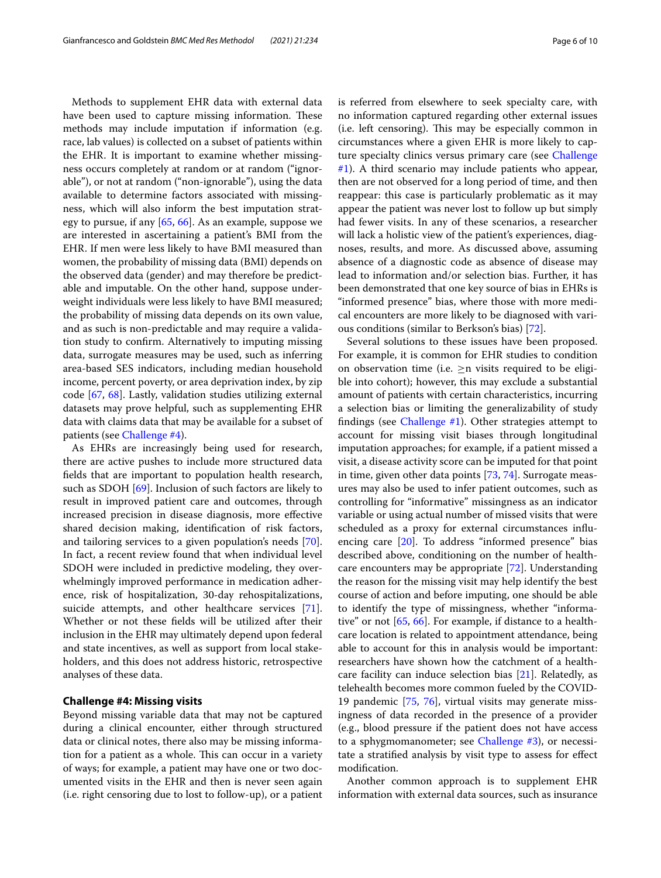Methods to supplement EHR data with external data have been used to capture missing information. These methods may include imputation if information (e.g. race, lab values) is collected on a subset of patients within the EHR. It is important to examine whether missingness occurs completely at random or at random ("ignorable"), or not at random ("non-ignorable"), using the data available to determine factors associated with missingness, which will also inform the best imputation strategy to pursue, if any [\[65](#page-8-40), [66](#page-8-41)]. As an example, suppose we are interested in ascertaining a patient's BMI from the EHR. If men were less likely to have BMI measured than women, the probability of missing data (BMI) depends on the observed data (gender) and may therefore be predictable and imputable. On the other hand, suppose underweight individuals were less likely to have BMI measured; the probability of missing data depends on its own value, and as such is non-predictable and may require a validation study to confrm. Alternatively to imputing missing data, surrogate measures may be used, such as inferring area-based SES indicators, including median household income, percent poverty, or area deprivation index, by zip code [\[67](#page-8-42), [68](#page-8-43)]. Lastly, validation studies utilizing external datasets may prove helpful, such as supplementing EHR data with claims data that may be available for a subset of patients (see [Challenge #4\)](#page-5-0).

As EHRs are increasingly being used for research, there are active pushes to include more structured data felds that are important to population health research, such as SDOH [\[69](#page-8-44)]. Inclusion of such factors are likely to result in improved patient care and outcomes, through increased precision in disease diagnosis, more efective shared decision making, identifcation of risk factors, and tailoring services to a given population's needs [\[70](#page-8-45)]. In fact, a recent review found that when individual level SDOH were included in predictive modeling, they overwhelmingly improved performance in medication adherence, risk of hospitalization, 30-day rehospitalizations, suicide attempts, and other healthcare services [\[71](#page-9-0)]. Whether or not these felds will be utilized after their inclusion in the EHR may ultimately depend upon federal and state incentives, as well as support from local stakeholders, and this does not address historic, retrospective analyses of these data.

#### <span id="page-5-0"></span>**Challenge #4: Missing visits**

Beyond missing variable data that may not be captured during a clinical encounter, either through structured data or clinical notes, there also may be missing information for a patient as a whole. This can occur in a variety of ways; for example, a patient may have one or two documented visits in the EHR and then is never seen again (i.e. right censoring due to lost to follow-up), or a patient is referred from elsewhere to seek specialty care, with no information captured regarding other external issues (i.e. left censoring). This may be especially common in circumstances where a given EHR is more likely to capture specialty clinics versus primary care (see [Challenge](#page-1-1)  [#1\)](#page-1-1). A third scenario may include patients who appear, then are not observed for a long period of time, and then reappear: this case is particularly problematic as it may appear the patient was never lost to follow up but simply had fewer visits. In any of these scenarios, a researcher will lack a holistic view of the patient's experiences, diagnoses, results, and more. As discussed above, assuming absence of a diagnostic code as absence of disease may lead to information and/or selection bias. Further, it has been demonstrated that one key source of bias in EHRs is "informed presence" bias, where those with more medical encounters are more likely to be diagnosed with various conditions (similar to Berkson's bias) [[72\]](#page-9-1).

Several solutions to these issues have been proposed. For example, it is common for EHR studies to condition on observation time (i.e.  $\geq$ n visits required to be eligible into cohort); however, this may exclude a substantial amount of patients with certain characteristics, incurring a selection bias or limiting the generalizability of study fndings (see [Challenge #1](#page-1-1)). Other strategies attempt to account for missing visit biases through longitudinal imputation approaches; for example, if a patient missed a visit, a disease activity score can be imputed for that point in time, given other data points [\[73,](#page-9-2) [74](#page-9-3)]. Surrogate measures may also be used to infer patient outcomes, such as controlling for "informative" missingness as an indicator variable or using actual number of missed visits that were scheduled as a proxy for external circumstances infuencing care [\[20](#page-7-19)]. To address "informed presence" bias described above, conditioning on the number of healthcare encounters may be appropriate [\[72](#page-9-1)]. Understanding the reason for the missing visit may help identify the best course of action and before imputing, one should be able to identify the type of missingness, whether "informative" or not [[65](#page-8-40), [66](#page-8-41)]. For example, if distance to a healthcare location is related to appointment attendance, being able to account for this in analysis would be important: researchers have shown how the catchment of a healthcare facility can induce selection bias [[21](#page-7-20)]. Relatedly, as telehealth becomes more common fueled by the COVID-19 pandemic [[75,](#page-9-4) [76\]](#page-9-5), virtual visits may generate missingness of data recorded in the presence of a provider (e.g., blood pressure if the patient does not have access to a sphygmomanometer; see [Challenge #3\)](#page-4-1), or necessitate a stratifed analysis by visit type to assess for efect modifcation.

Another common approach is to supplement EHR information with external data sources, such as insurance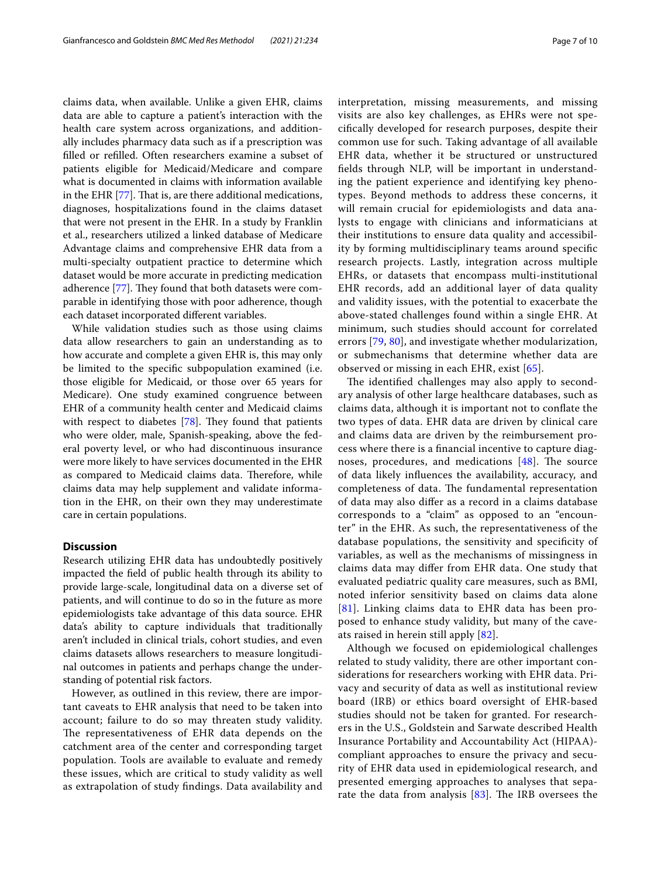claims data, when available. Unlike a given EHR, claims data are able to capture a patient's interaction with the health care system across organizations, and additionally includes pharmacy data such as if a prescription was flled or reflled. Often researchers examine a subset of patients eligible for Medicaid/Medicare and compare what is documented in claims with information available in the EHR  $[77]$ . That is, are there additional medications, diagnoses, hospitalizations found in the claims dataset that were not present in the EHR. In a study by Franklin et al., researchers utilized a linked database of Medicare Advantage claims and comprehensive EHR data from a multi-specialty outpatient practice to determine which dataset would be more accurate in predicting medication adherence [\[77](#page-9-6)]. They found that both datasets were comparable in identifying those with poor adherence, though each dataset incorporated diferent variables.

While validation studies such as those using claims data allow researchers to gain an understanding as to how accurate and complete a given EHR is, this may only be limited to the specifc subpopulation examined (i.e. those eligible for Medicaid, or those over 65 years for Medicare). One study examined congruence between EHR of a community health center and Medicaid claims with respect to diabetes  $[78]$ . They found that patients who were older, male, Spanish-speaking, above the federal poverty level, or who had discontinuous insurance were more likely to have services documented in the EHR as compared to Medicaid claims data. Therefore, while claims data may help supplement and validate information in the EHR, on their own they may underestimate care in certain populations.

#### **Discussion**

Research utilizing EHR data has undoubtedly positively impacted the feld of public health through its ability to provide large-scale, longitudinal data on a diverse set of patients, and will continue to do so in the future as more epidemiologists take advantage of this data source. EHR data's ability to capture individuals that traditionally aren't included in clinical trials, cohort studies, and even claims datasets allows researchers to measure longitudinal outcomes in patients and perhaps change the understanding of potential risk factors.

However, as outlined in this review, there are important caveats to EHR analysis that need to be taken into account; failure to do so may threaten study validity. The representativeness of EHR data depends on the catchment area of the center and corresponding target population. Tools are available to evaluate and remedy these issues, which are critical to study validity as well as extrapolation of study fndings. Data availability and interpretation, missing measurements, and missing visits are also key challenges, as EHRs were not specifcally developed for research purposes, despite their common use for such. Taking advantage of all available EHR data, whether it be structured or unstructured felds through NLP, will be important in understanding the patient experience and identifying key phenotypes. Beyond methods to address these concerns, it will remain crucial for epidemiologists and data analysts to engage with clinicians and informaticians at their institutions to ensure data quality and accessibility by forming multidisciplinary teams around specifc research projects. Lastly, integration across multiple EHRs, or datasets that encompass multi-institutional EHR records, add an additional layer of data quality and validity issues, with the potential to exacerbate the above-stated challenges found within a single EHR. At minimum, such studies should account for correlated errors [[79](#page-9-8), [80\]](#page-9-9), and investigate whether modularization, or submechanisms that determine whether data are observed or missing in each EHR, exist [[65\]](#page-8-40).

The identified challenges may also apply to secondary analysis of other large healthcare databases, such as claims data, although it is important not to confate the two types of data. EHR data are driven by clinical care and claims data are driven by the reimbursement process where there is a fnancial incentive to capture diagnoses, procedures, and medications  $[48]$  $[48]$  $[48]$ . The source of data likely infuences the availability, accuracy, and completeness of data. The fundamental representation of data may also difer as a record in a claims database corresponds to a "claim" as opposed to an "encounter" in the EHR. As such, the representativeness of the database populations, the sensitivity and specifcity of variables, as well as the mechanisms of missingness in claims data may difer from EHR data. One study that evaluated pediatric quality care measures, such as BMI, noted inferior sensitivity based on claims data alone [[81](#page-9-10)]. Linking claims data to EHR data has been proposed to enhance study validity, but many of the caveats raised in herein still apply [\[82\]](#page-9-11).

Although we focused on epidemiological challenges related to study validity, there are other important considerations for researchers working with EHR data. Privacy and security of data as well as institutional review board (IRB) or ethics board oversight of EHR-based studies should not be taken for granted. For researchers in the U.S., Goldstein and Sarwate described Health Insurance Portability and Accountability Act (HIPAA) compliant approaches to ensure the privacy and security of EHR data used in epidemiological research, and presented emerging approaches to analyses that separate the data from analysis  $[83]$  $[83]$ . The IRB oversees the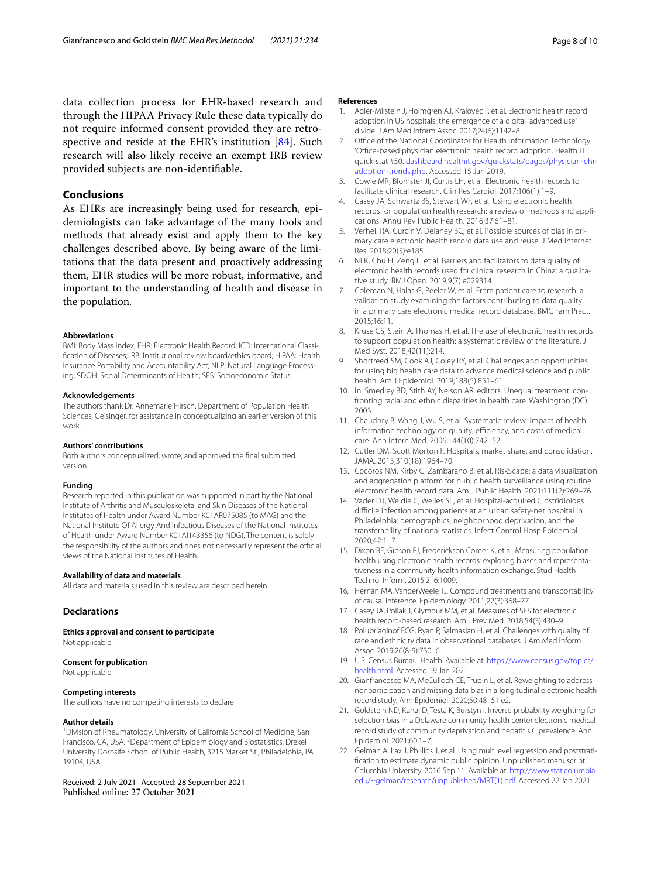data collection process for EHR-based research and through the HIPAA Privacy Rule these data typically do not require informed consent provided they are retrospective and reside at the EHR's institution [[84\]](#page-9-13). Such research will also likely receive an exempt IRB review provided subjects are non-identifable.

## **Conclusions**

As EHRs are increasingly being used for research, epidemiologists can take advantage of the many tools and methods that already exist and apply them to the key challenges described above. By being aware of the limitations that the data present and proactively addressing them, EHR studies will be more robust, informative, and important to the understanding of health and disease in the population.

#### **Abbreviations**

BMI: Body Mass Index; EHR: Electronic Health Record; ICD: International Classifcation of Diseases; IRB: Institutional review board/ethics board; HIPAA: Health Insurance Portability and Accountability Act; NLP: Natural Language Processing; SDOH: Social Determinants of Health; SES: Socioeconomic Status.

#### **Acknowledgements**

The authors thank Dr. Annemarie Hirsch, Department of Population Health Sciences, Geisinger, for assistance in conceptualizing an earlier version of this work.

#### **Authors' contributions**

Both authors conceptualized, wrote, and approved the fnal submitted version.

#### **Funding**

Research reported in this publication was supported in part by the National Institute of Arthritis and Musculoskeletal and Skin Diseases of the National Institutes of Health under Award Number K01AR075085 (to MAG) and the National Institute Of Allergy And Infectious Diseases of the National Institutes of Health under Award Number K01AI143356 (to NDG). The content is solely the responsibility of the authors and does not necessarily represent the official views of the National Institutes of Health.

#### **Availability of data and materials**

All data and materials used in this review are described herein.

#### **Declarations**

**Ethics approval and consent to participate**

Not applicable

#### **Consent for publication**

Not applicable

#### **Competing interests**

The authors have no competing interests to declare

#### **Author details**

<sup>1</sup> Division of Rheumatology, University of California School of Medicine, San Francisco, CA, USA. <sup>2</sup> Department of Epidemiology and Biostatistics, Drexel University Dornsife School of Public Health, 3215 Market St., Philadelphia, PA 19104, USA.

Received: 2 July 2021 Accepted: 28 September 2021 Published online: 27 October 2021

#### **References**

- <span id="page-7-0"></span>1. Adler-Milstein J, Holmgren AJ, Kralovec P, et al. Electronic health record adoption in US hospitals: the emergence of a digital "advanced use" divide. J Am Med Inform Assoc. 2017;24(6):1142–8.
- <span id="page-7-1"></span>2. Office of the National Coordinator for Health Information Technology. 'Office-based physician electronic health record adoption', Health IT quick-stat #50. [dashboard.healthit.gov/quickstats/pages/physician-ehr](http://dashboard.healthit.gov/quickstats/pages/physician-ehr-adoption-trends.php)[adoption-trends.php.](http://dashboard.healthit.gov/quickstats/pages/physician-ehr-adoption-trends.php) Accessed 15 Jan 2019.
- <span id="page-7-2"></span>3. Cowie MR, Blomster JI, Curtis LH, et al. Electronic health records to facilitate clinical research. Clin Res Cardiol. 2017;106(1):1–9.
- <span id="page-7-3"></span>4. Casey JA, Schwartz BS, Stewart WF, et al. Using electronic health records for population health research: a review of methods and applications. Annu Rev Public Health. 2016;37:61–81.
- <span id="page-7-4"></span>5. Verheij RA, Curcin V, Delaney BC, et al. Possible sources of bias in primary care electronic health record data use and reuse. J Med Internet Res. 2018;20(5):e185.
- <span id="page-7-5"></span>6. Ni K, Chu H, Zeng L, et al. Barriers and facilitators to data quality of electronic health records used for clinical research in China: a qualitative study. BMJ Open. 2019;9(7):e029314.
- <span id="page-7-6"></span>7. Coleman N, Halas G, Peeler W, et al. From patient care to research: a validation study examining the factors contributing to data quality in a primary care electronic medical record database. BMC Fam Pract. 2015;16:11.
- <span id="page-7-7"></span>8. Kruse CS, Stein A, Thomas H, et al. The use of electronic health records to support population health: a systematic review of the literature. J Med Syst. 2018;42(11):214.
- <span id="page-7-8"></span>9. Shortreed SM, Cook AJ, Coley RY, et al. Challenges and opportunities for using big health care data to advance medical science and public health. Am J Epidemiol. 2019;188(5):851–61.
- <span id="page-7-9"></span>10. In: Smedley BD, Stith AY, Nelson AR, editors. Unequal treatment: confronting racial and ethnic disparities in health care. Washington (DC) 2003.
- <span id="page-7-10"></span>11. Chaudhry B, Wang J, Wu S, et al. Systematic review: impact of health information technology on quality, efficiency, and costs of medical care. Ann Intern Med. 2006;144(10):742–52.
- <span id="page-7-11"></span>12. Cutler DM, Scott Morton F. Hospitals, market share, and consolidation. JAMA. 2013;310(18):1964–70.
- <span id="page-7-12"></span>13. Cocoros NM, Kirby C, Zambarano B, et al. RiskScape: a data visualization and aggregation platform for public health surveillance using routine electronic health record data. Am J Public Health. 2021;111(2):269–76.
- <span id="page-7-13"></span>14. Vader DT, Weldie C, Welles SL, et al. Hospital-acquired Clostridioides difficile infection among patients at an urban safety-net hospital in Philadelphia: demographics, neighborhood deprivation, and the transferability of national statistics. Infect Control Hosp Epidemiol. 2020;42:1–7.
- <span id="page-7-14"></span>15. Dixon BE, Gibson PJ, Frederickson Comer K, et al. Measuring population health using electronic health records: exploring biases and representativeness in a community health information exchange. Stud Health Technol Inform. 2015;216:1009.
- <span id="page-7-15"></span>16. Hernán MA, VanderWeele TJ. Compound treatments and transportability of causal inference. Epidemiology. 2011;22(3):368–77.
- <span id="page-7-16"></span>17. Casey JA, Pollak J, Glymour MM, et al. Measures of SES for electronic health record-based research. Am J Prev Med. 2018;54(3):430–9.
- <span id="page-7-17"></span>18. Polubriaginof FCG, Ryan P, Salmasian H, et al. Challenges with quality of race and ethnicity data in observational databases. J Am Med Inform Assoc. 2019;26(8-9):730–6.
- <span id="page-7-18"></span>19. U.S. Census Bureau. Health. Available at: [https://www.census.gov/topics/](https://www.census.gov/topics/health.html) [health.html](https://www.census.gov/topics/health.html). Accessed 19 Jan 2021.
- <span id="page-7-19"></span>20. Gianfrancesco MA, McCulloch CE, Trupin L, et al. Reweighting to address nonparticipation and missing data bias in a longitudinal electronic health record study. Ann Epidemiol. 2020;50:48–51 e2.
- <span id="page-7-20"></span>21. Goldstein ND, Kahal D, Testa K, Burstyn I. Inverse probability weighting for selection bias in a Delaware community health center electronic medical record study of community deprivation and hepatitis C prevalence. Ann Epidemiol. 2021;60:1–7.
- <span id="page-7-21"></span>22. Gelman A, Lax J, Phillips J, et al. Using multilevel regression and poststratifcation to estimate dynamic public opinion. Unpublished manuscript, Columbia University. 2016 Sep 11. Available at: [http://www.stat.columbia.](http://www.stat.columbia.edu/~gelman/research/unpublished/MRT(1).pdf) [edu/~gelman/research/unpublished/MRT\(1\).pdf](http://www.stat.columbia.edu/~gelman/research/unpublished/MRT(1).pdf). Accessed 22 Jan 2021.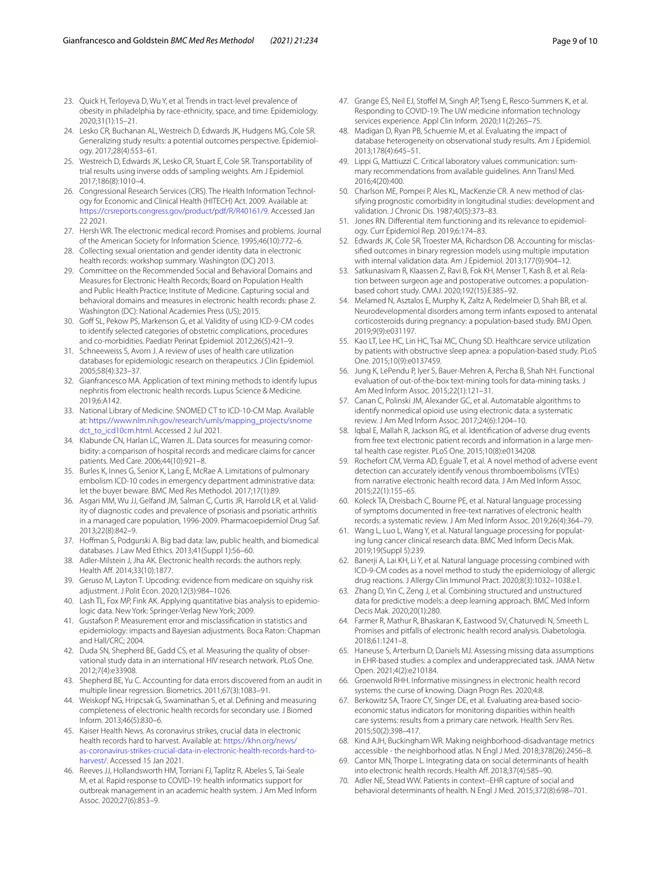- <span id="page-8-0"></span>23. Quick H, Terloyeva D, Wu Y, et al. Trends in tract-level prevalence of obesity in philadelphia by race-ethnicity, space, and time. Epidemiology. 2020;31(1):15–21.
- <span id="page-8-1"></span>24. Lesko CR, Buchanan AL, Westreich D, Edwards JK, Hudgens MG, Cole SR. Generalizing study results: a potential outcomes perspective. Epidemiology. 2017;28(4):553–61.
- <span id="page-8-2"></span>25. Westreich D, Edwards JK, Lesko CR, Stuart E, Cole SR. Transportability of trial results using inverse odds of sampling weights. Am J Epidemiol. 2017;186(8):1010–4.
- <span id="page-8-3"></span>26. Congressional Research Services (CRS). The Health Information Technology for Economic and Clinical Health (HITECH) Act. 2009. Available at: <https://crsreports.congress.gov/product/pdf/R/R40161/9>. Accessed Jan 22 2021.
- <span id="page-8-4"></span>27. Hersh WR. The electronic medical record: Promises and problems. Journal of the American Society for Information Science. 1995;46(10):772–6.
- <span id="page-8-5"></span>28. Collecting sexual orientation and gender identity data in electronic health records: workshop summary. Washington (DC) 2013.
- <span id="page-8-6"></span>29. Committee on the Recommended Social and Behavioral Domains and Measures for Electronic Health Records; Board on Population Health and Public Health Practice; Institute of Medicine. Capturing social and behavioral domains and measures in electronic health records: phase 2. Washington (DC): National Academies Press (US); 2015.
- <span id="page-8-7"></span>30. Goff SL, Pekow PS, Markenson G, et al. Validity of using ICD-9-CM codes to identify selected categories of obstetric complications, procedures and co-morbidities. Paediatr Perinat Epidemiol. 2012;26(5):421–9.
- <span id="page-8-8"></span>31. Schneeweiss S, Avorn J. A review of uses of health care utilization databases for epidemiologic research on therapeutics. J Clin Epidemiol. 2005;58(4):323–37.
- <span id="page-8-9"></span>32. Gianfrancesco MA. Application of text mining methods to identify lupus nephritis from electronic health records. Lupus Science & Medicine. 2019;6:A142.
- <span id="page-8-10"></span>33. National Library of Medicine. SNOMED CT to ICD-10-CM Map. Available at: [https://www.nlm.nih.gov/research/umls/mapping\\_projects/snome](https://www.nlm.nih.gov/research/umls/mapping_projects/snomedct_to_icd10cm.html) [dct\\_to\\_icd10cm.html](https://www.nlm.nih.gov/research/umls/mapping_projects/snomedct_to_icd10cm.html). Accessed 2 Jul 2021.
- <span id="page-8-11"></span>34. Klabunde CN, Harlan LC, Warren JL. Data sources for measuring comorbidity: a comparison of hospital records and medicare claims for cancer patients. Med Care. 2006;44(10):921–8.
- 35. Burles K, Innes G, Senior K, Lang E, McRae A. Limitations of pulmonary embolism ICD-10 codes in emergency department administrative data: let the buyer beware. BMC Med Res Methodol. 2017;17(1):89.
- <span id="page-8-12"></span>36. Asgari MM, Wu JJ, Gelfand JM, Salman C, Curtis JR, Harrold LR, et al. Validity of diagnostic codes and prevalence of psoriasis and psoriatic arthritis in a managed care population, 1996-2009. Pharmacoepidemiol Drug Saf. 2013;22(8):842–9.
- <span id="page-8-13"></span>37. Hofman S, Podgurski A. Big bad data: law, public health, and biomedical databases. J Law Med Ethics. 2013;41(Suppl 1):56–60.
- <span id="page-8-14"></span>38. Adler-Milstein J, Jha AK. Electronic health records: the authors reply. Health Aff. 2014;33(10):1877.
- <span id="page-8-15"></span>39. Geruso M, Layton T. Upcoding: evidence from medicare on squishy risk adjustment. J Polit Econ. 2020;12(3):984–1026.
- <span id="page-8-16"></span>40. Lash TL, Fox MP, Fink AK. Applying quantitative bias analysis to epidemiologic data. New York: Springer-Verlag New York; 2009.
- <span id="page-8-17"></span>41. Gustafson P. Measurement error and misclassifcation in statistics and epidemiology: impacts and Bayesian adjustments. Boca Raton: Chapman and Hall/CRC; 2004.
- <span id="page-8-18"></span>42. Duda SN, Shepherd BE, Gadd CS, et al. Measuring the quality of observational study data in an international HIV research network. PLoS One. 2012;7(4):e33908.
- <span id="page-8-19"></span>43. Shepherd BE, Yu C. Accounting for data errors discovered from an audit in multiple linear regression. Biometrics. 2011;67(3):1083–91.
- <span id="page-8-20"></span>44. Weiskopf NG, Hripcsak G, Swaminathan S, et al. Defning and measuring completeness of electronic health records for secondary use. J Biomed Inform. 2013;46(5):830–6.
- <span id="page-8-21"></span>45. Kaiser Health News. As coronavirus strikes, crucial data in electronic health records hard to harvest. Available at: [https://khn.org/news/](https://khn.org/news/as-coronavirus-strikes-crucial-data-in-electronic-health-records-hard-to-harvest/) [as-coronavirus-strikes-crucial-data-in-electronic-health-records-hard-to](https://khn.org/news/as-coronavirus-strikes-crucial-data-in-electronic-health-records-hard-to-harvest/)[harvest/](https://khn.org/news/as-coronavirus-strikes-crucial-data-in-electronic-health-records-hard-to-harvest/). Accessed 15 Jan 2021.
- <span id="page-8-22"></span>46. Reeves JJ, Hollandsworth HM, Torriani FJ, Taplitz R, Abeles S, Tai-Seale M, et al. Rapid response to COVID-19: health informatics support for outbreak management in an academic health system. J Am Med Inform Assoc. 2020;27(6):853–9.
- <span id="page-8-23"></span>47. Grange ES, Neil EJ, Stofel M, Singh AP, Tseng E, Resco-Summers K, et al. Responding to COVID-19: The UW medicine information technology services experience. Appl Clin Inform. 2020;11(2):265–75.
- <span id="page-8-24"></span>48. Madigan D, Ryan PB, Schuemie M, et al. Evaluating the impact of database heterogeneity on observational study results. Am J Epidemiol. 2013;178(4):645–51.
- <span id="page-8-25"></span>49. Lippi G, Mattiuzzi C. Critical laboratory values communication: summary recommendations from available guidelines. Ann Transl Med. 2016;4(20):400.
- <span id="page-8-26"></span>50. Charlson ME, Pompei P, Ales KL, MacKenzie CR. A new method of classifying prognostic comorbidity in longitudinal studies: development and validation. J Chronic Dis. 1987;40(5):373–83.
- <span id="page-8-27"></span>51. Jones RN. Diferential item functioning and its relevance to epidemiology. Curr Epidemiol Rep. 2019;6:174–83.
- <span id="page-8-28"></span>52. Edwards JK, Cole SR, Troester MA, Richardson DB. Accounting for misclassifed outcomes in binary regression models using multiple imputation with internal validation data. Am J Epidemiol. 2013;177(9):904–12.
- <span id="page-8-29"></span>53. Satkunasivam R, Klaassen Z, Ravi B, Fok KH, Menser T, Kash B, et al. Relation between surgeon age and postoperative outcomes: a populationbased cohort study. CMAJ. 2020;192(15):E385–92.
- 54. Melamed N, Asztalos E, Murphy K, Zaltz A, Redelmeier D, Shah BR, et al. Neurodevelopmental disorders among term infants exposed to antenatal corticosteroids during pregnancy: a population-based study. BMJ Open. 2019;9(9):e031197.
- <span id="page-8-30"></span>55. Kao LT, Lee HC, Lin HC, Tsai MC, Chung SD. Healthcare service utilization by patients with obstructive sleep apnea: a population-based study. PLoS One. 2015;10(9):e0137459.
- <span id="page-8-31"></span>56. Jung K, LePendu P, Iyer S, Bauer-Mehren A, Percha B, Shah NH. Functional evaluation of out-of-the-box text-mining tools for data-mining tasks. J Am Med Inform Assoc. 2015;22(1):121–31.
- <span id="page-8-32"></span>57. Canan C, Polinski JM, Alexander GC, et al. Automatable algorithms to identify nonmedical opioid use using electronic data: a systematic review. J Am Med Inform Assoc. 2017;24(6):1204–10.
- <span id="page-8-33"></span>58. Iqbal E, Mallah R, Jackson RG, et al. Identifcation of adverse drug events from free text electronic patient records and information in a large mental health case register. PLoS One. 2015;10(8):e0134208.
- <span id="page-8-34"></span>59. Rochefort CM, Verma AD, Eguale T, et al. A novel method of adverse event detection can accurately identify venous thromboembolisms (VTEs) from narrative electronic health record data. J Am Med Inform Assoc. 2015;22(1):155–65.
- <span id="page-8-35"></span>60. Koleck TA, Dreisbach C, Bourne PE, et al. Natural language processing of symptoms documented in free-text narratives of electronic health records: a systematic review. J Am Med Inform Assoc. 2019;26(4):364–79.
- <span id="page-8-36"></span>61. Wang L, Luo L, Wang Y, et al. Natural language processing for populating lung cancer clinical research data. BMC Med Inform Decis Mak. 2019;19(Suppl 5):239.
- <span id="page-8-37"></span>62. Banerji A, Lai KH, Li Y, et al. Natural language processing combined with ICD-9-CM codes as a novel method to study the epidemiology of allergic drug reactions. J Allergy Clin Immunol Pract. 2020;8(3):1032–1038.e1.
- <span id="page-8-38"></span>63. Zhang D, Yin C, Zeng J, et al. Combining structured and unstructured data for predictive models: a deep learning approach. BMC Med Inform Decis Mak. 2020;20(1):280.
- <span id="page-8-39"></span>64. Farmer R, Mathur R, Bhaskaran K, Eastwood SV, Chaturvedi N, Smeeth L. Promises and pitfalls of electronic health record analysis. Diabetologia. 2018;61:1241–8.
- <span id="page-8-40"></span>65. Haneuse S, Arterburn D, Daniels MJ. Assessing missing data assumptions in EHR-based studies: a complex and underappreciated task. JAMA Netw Open. 2021;4(2):e210184.
- <span id="page-8-41"></span>66. Groenwold RHH. Informative missingness in electronic health record systems: the curse of knowing. Diagn Progn Res. 2020;4:8.
- <span id="page-8-42"></span>67. Berkowitz SA, Traore CY, Singer DE, et al. Evaluating area-based socioeconomic status indicators for monitoring disparities within health care systems: results from a primary care network. Health Serv Res. 2015;50(2):398–417.
- <span id="page-8-43"></span>68. Kind AJH, Buckingham WR. Making neighborhood-disadvantage metrics accessible - the neighborhood atlas. N Engl J Med. 2018;378(26):2456–8.
- <span id="page-8-44"></span>69. Cantor MN, Thorpe L. Integrating data on social determinants of health into electronic health records. Health Af. 2018;37(4):585–90.
- <span id="page-8-45"></span>70. Adler NE, Stead WW. Patients in context--EHR capture of social and behavioral determinants of health. N Engl J Med. 2015;372(8):698–701.